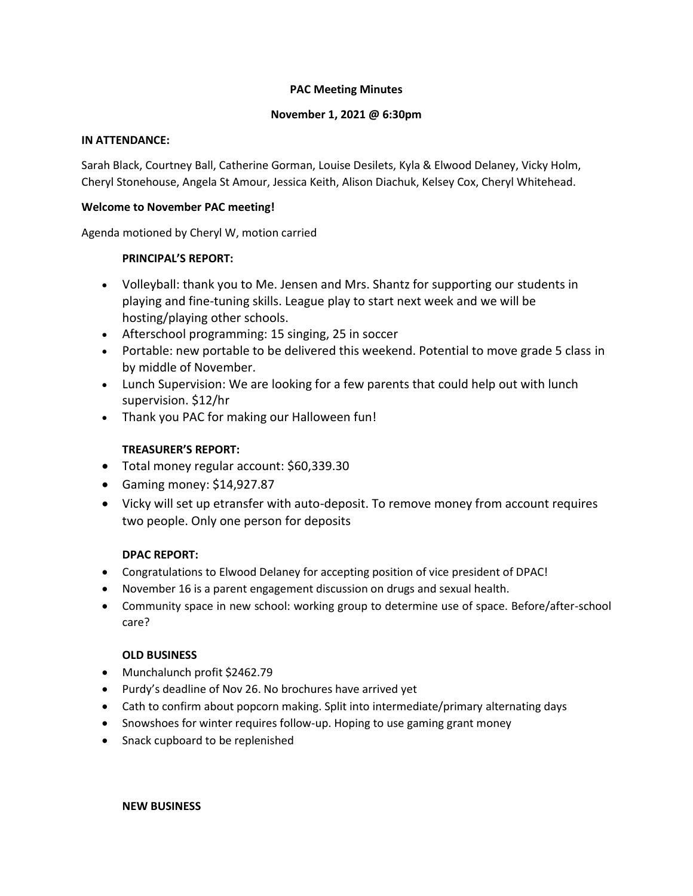# **PAC Meeting Minutes**

## **November 1, 2021 @ 6:30pm**

### **IN ATTENDANCE:**

Sarah Black, Courtney Ball, Catherine Gorman, Louise Desilets, Kyla & Elwood Delaney, Vicky Holm, Cheryl Stonehouse, Angela St Amour, Jessica Keith, Alison Diachuk, Kelsey Cox, Cheryl Whitehead.

### **Welcome to November PAC meeting!**

Agenda motioned by Cheryl W, motion carried

# **PRINCIPAL'S REPORT:**

- Volleyball: thank you to Me. Jensen and Mrs. Shantz for supporting our students in playing and fine-tuning skills. League play to start next week and we will be hosting/playing other schools.
- Afterschool programming: 15 singing, 25 in soccer
- Portable: new portable to be delivered this weekend. Potential to move grade 5 class in by middle of November.
- Lunch Supervision: We are looking for a few parents that could help out with lunch supervision. \$12/hr
- Thank you PAC for making our Halloween fun!

# **TREASURER'S REPORT:**

- Total money regular account: \$60,339.30
- Gaming money: \$14,927.87
- Vicky will set up etransfer with auto-deposit. To remove money from account requires two people. Only one person for deposits

### **DPAC REPORT:**

- Congratulations to Elwood Delaney for accepting position of vice president of DPAC!
- November 16 is a parent engagement discussion on drugs and sexual health.
- Community space in new school: working group to determine use of space. Before/after-school care?

### **OLD BUSINESS**

- Munchalunch profit \$2462.79
- Purdy's deadline of Nov 26. No brochures have arrived yet
- Cath to confirm about popcorn making. Split into intermediate/primary alternating days
- Snowshoes for winter requires follow-up. Hoping to use gaming grant money
- Snack cupboard to be replenished

#### **NEW BUSINESS**